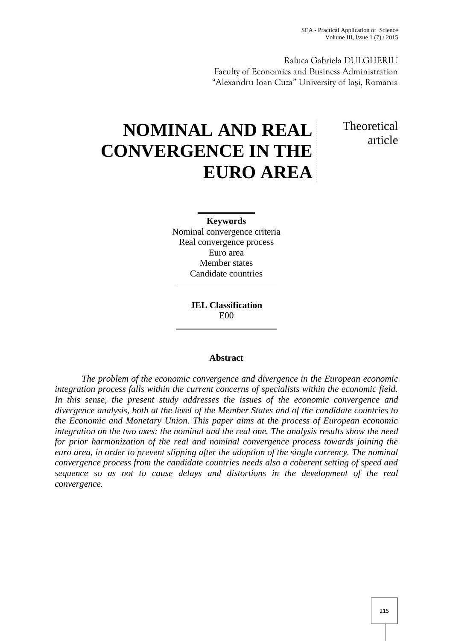Raluca Gabriela DULGHERIU Faculty of Economics and Business Administration "Alexandru Ioan Cuza" University of Ia i, Romania

# **NOMINAL AND REAL CONVERGENCE IN THE EURO AREA**

# **Theoretical** article

# **Keywords**

Nominal convergence criteria Real convergence process Euro area Member states Candidate countries

> **JEL Classification** E00

## **Abstract**

*The problem of the economic convergence and divergence in the European economic integration process falls within the current concerns of specialists within the economic field. In this sense, the present study addresses the issues of the economic convergence and divergence analysis, both at the level of the Member States and of the candidate countries to the Economic and Monetary Union. This paper aims at the process of European economic integration on the two axes: the nominal and the real one. The analysis results show the need for prior harmonization of the real and nominal convergence process towards joining the euro area, in order to prevent slipping after the adoption of the single currency. The nominal convergence process from the candidate countries needs also a coherent setting of speed and sequence so as not to cause delays and distortions in the development of the real convergence.*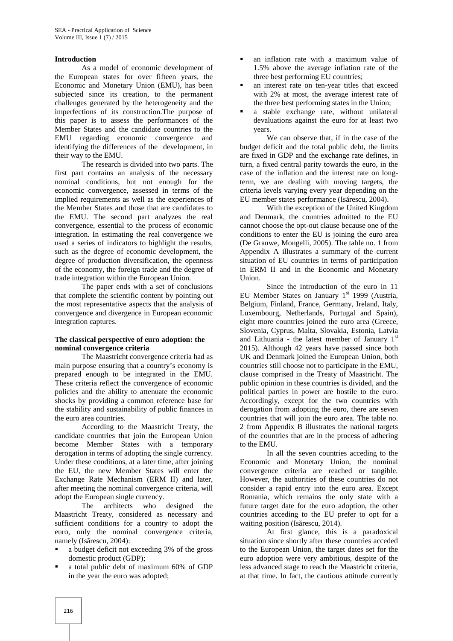#### **Introduction**

As a model of economic development of the European states for over fifteen years, the Economic and Monetary Union (EMU), has been subjected since its creation, to the permanent challenges generated by the heterogeneity and the imperfections of its construction.The purpose of this paper is to assess the performances of the Member States and the candidate countries to the EMU regarding economic convergence and identifying the differences of the development, in their way to the EMU.

The research is divided into two parts. The first part contains an analysis of the necessary nominal conditions, but not enough for the economic convergence, assessed in terms of the implied requirements as well as the experiences of the Member States and those that are candidates to the EMU. The second part analyzes the real convergence, essential to the process of economic integration. In estimating the real convergence we used a series of indicators to highlight the results, such as the degree of economic development, the degree of production diversification, the openness of the economy, the foreign trade and the degree of trade integration within the European Union.

The paper ends with a set of conclusions that complete the scientific content by pointing out the most representative aspects that the analysis of convergence and divergence in European economic integration captures.

#### **The classical perspective of euro adoption: the nominal convergence criteria**

The Maastricht convergence criteria had as main purpose ensuring that a country's economy is prepared enough to be integrated in the EMU. These criteria reflect the convergence of economic policies and the ability to attenuate the economic shocks by providing a common reference base for the stability and sustainability of public finances in the euro area countries.

According to the Maastricht Treaty, the candidate countries that join the European Union become Member States with a temporary derogation in terms of adopting the single currency. Under these conditions, at a later time, after joining the EU, the new Member States will enter the Exchange Rate Mechanism (ERM II) and later, after meeting the nominal convergence criteria, will adopt the European single currency.

The architects who designed the Maastricht Treaty, considered as necessary and sufficient conditions for a country to adopt the euro, only the nominal convergence criteria, namely (Is rescu,  $2004$ ):

- a budget deficit not exceeding 3% of the gross domestic product (GDP);
- a total public debt of maximum 60% of GDP in the year the euro was adopted;
- an inflation rate with a maximum value of 1.5% above the average inflation rate of the three best performing EU countries;
- an interest rate on ten-year titles that exceed with 2% at most, the average interest rate of the three best performing states in the Union;
- a stable exchange rate, without unilateral devaluations against the euro for at least two years.

We can observe that, if in the case of the budget deficit and the total public debt, the limits are fixed in GDP and the exchange rate defines, in turn, a fixed central parity towards the euro, in the case of the inflation and the interest rate on longterm, we are dealing with moving targets, the criteria levels varying every year depending on the EU member states performance (Is rescu, 2004).

With the exception of the United Kingdom and Denmark, the countries admitted to the EU cannot choose the opt-out clause because one of the conditions to enter the EU is joining the euro area (De Grauwe, Mongelli, 2005). The table no. 1 from Appendix A illustrates a summary of the current situation of EU countries in terms of participation in ERM II and in the Economic and Monetary Union.

Since the introduction of the euro in 11 EU Member States on January  $1<sup>st</sup>$  1999 (Austria, Belgium, Finland, France, Germany, Ireland, Italy, Luxembourg, Netherlands, Portugal and Spain), eight more countries joined the euro area (Greece, Slovenia, Cyprus, Malta, Slovakia, Estonia, Latvia and Lithuania - the latest member of January  $1<sup>st</sup>$ 2015). Although 42 years have passed since both UK and Denmark joined the European Union, both countries still choose not to participate in the EMU, clause comprised in the Treaty of Maastricht. The public opinion in these countries is divided, and the political parties in power are hostile to the euro. Accordingly, except for the two countries with derogation from adopting the euro, there are seven countries that will join the euro area. The table no. 2 from Appendix B illustrates the national targets of the countries that are in the process of adhering to the EMU.

In all the seven countries acceding to the Economic and Monetary Union, the nominal convergence criteria are reached or tangible. However, the authorities of these countries do not consider a rapid entry into the euro area. Except Romania, which remains the only state with a future target date for the euro adoption, the other countries acceding to the EU prefer to opt for a waiting position (Is rescu, 2014).

At first glance, this is a paradoxical situation since shortly after these countries acceded to the European Union, the target dates set for the euro adoption were very ambitious, despite of the less advanced stage to reach the Maastricht criteria, at that time. In fact, the cautious attitude currently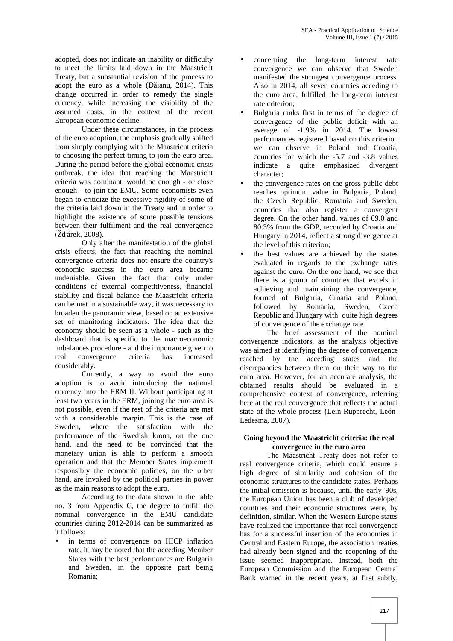adopted, does not indicate an inability or difficulty to meet the limits laid down in the Maastricht Treaty, but a substantial revision of the process to adopt the euro as a whole  $(D \text{ i. } 2014)$ . This change occurred in order to remedy the single currency, while increasing the visibility of the assumed costs, in the context of the recent European economic decline.

Under these circumstances, in the process of the euro adoption, the emphasis gradually shifted from simply complying with the Maastricht criteria to choosing the perfect timing to join the euro area. During the period before the global economic crisis outbreak, the idea that reaching the Maastricht criteria was dominant, would be enough - or close enough - to join the EMU. Some economists even began to criticize the excessive rigidity of some of the criteria laid down in the Treaty and in order to highlight the existence of some possible tensions between their fulfilment and the real convergence (Žd'árek, 2008).

Only after the manifestation of the global crisis effects, the fact that reaching the nominal convergence criteria does not ensure the country's economic success in the euro area became undeniable. Given the fact that only under conditions of external competitiveness, financial stability and fiscal balance the Maastricht criteria can be met in a sustainable way, it was necessary to broaden the panoramic view, based on an extensive set of monitoring indicators. The idea that the economy should be seen as a whole - such as the dashboard that is specific to the macroeconomic imbalances procedure - and the importance given to real convergence criteria has increased considerably.

Currently, a way to avoid the euro adoption is to avoid introducing the national currency into the ERM II. Without participating at least two years in the ERM, joining the euro area is not possible, even if the rest of the criteria are met with a considerable margin. This is the case of Sweden, where the satisfaction with the performance of the Swedish krona, on the one hand, and the need to be convinced that the monetary union is able to perform a smooth operation and that the Member States implement responsibly the economic policies, on the other hand, are invoked by the political parties in power as the main reasons to adopt the euro.

According to the data shown in the table no. 3 from Appendix C, the degree to fulfill the nominal convergence in the EMU candidate countries during 2012-2014 can be summarized as it follows:

 in terms of convergence on HICP inflation rate, it may be noted that the acceding Member States with the best performances are Bulgaria and Sweden, in the opposite part being Romania;

- concerning the long-term interest rate convergence we can observe that Sweden manifested the strongest convergence process. Also in 2014, all seven countries acceding to the euro area, fulfilled the long-term interest rate criterion;
- Bulgaria ranks first in terms of the degree of convergence of the public deficit with an average of -1.9% in 2014. The lowest performances registered based on this criterion we can observe in Poland and Croatia. countries for which the -5.7 and -3.8 values indicate a quite emphasized divergent character;
- the convergence rates on the gross public debt reaches optimum value in Bulgaria, Poland, the Czech Republic, Romania and Sweden, countries that also register a convergent degree. On the other hand, values of 69.0 and 80.3% from the GDP, recorded by Croatia and Hungary in 2014, reflect a strong divergence at the level of this criterion;
- the best values are achieved by the states evaluated in regards to the exchange rates against the euro. On the one hand, we see that there is a group of countries that excels in achieving and maintaining the convergence, formed of Bulgaria, Croatia and Poland, followed by Romania, Sweden, Czech Republic and Hungary with quite high degrees of convergence of the exchange rate

The brief assessment of the nominal convergence indicators, as the analysis objective was aimed at identifying the degree of convergence reached by the acceding states and the discrepancies between them on their way to the euro area. However, for an accurate analysis, the obtained results should be evaluated in a comprehensive context of convergence, referring here at the real convergence that reflects the actual state of the whole process (Lein-Rupprecht, León- Ledesma, 2007).

## **Going beyond the Maastricht criteria: the real convergence in the euro area**

The Maastricht Treaty does not refer to real convergence criteria, which could ensure a high degree of similarity and cohesion of the economic structures to the candidate states. Perhaps the initial omission is because, until the early '90s, the European Union has been a club of developed countries and their economic structures were, by definition, similar. When the Western Europe states have realized the importance that real convergence has for a successful insertion of the economies in Central and Eastern Europe, the association treaties had already been signed and the reopening of the issue seemed inappropriate. Instead, both the European Commission and the European Central Bank warned in the recent years, at first subtly,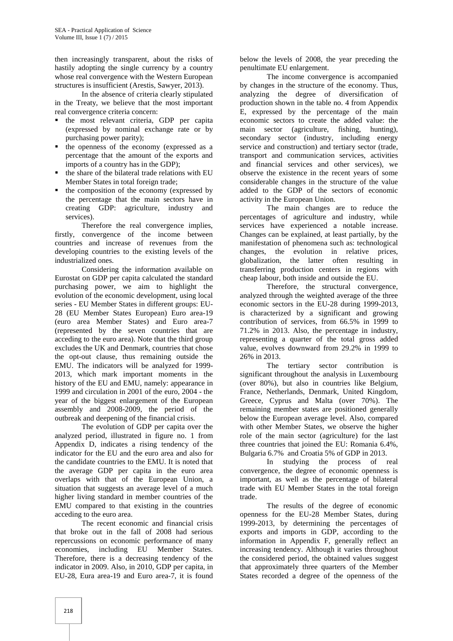then increasingly transparent, about the risks of hastily adopting the single currency by a country whose real convergence with the Western European structures is insufficient (Arestis, Sawyer, 2013).

In the absence of criteria clearly stipulated in the Treaty, we believe that the most important real convergence criteria concern:

- the most relevant criteria, GDP per capita (expressed by nominal exchange rate or by purchasing power parity);
- the openness of the economy (expressed as a percentage that the amount of the exports and imports of a country has in the GDP);
- $\blacksquare$  the share of the bilateral trade relations with EU Member States in total foreign trade;
- $\blacksquare$  the composition of the economy (expressed by the percentage that the main sectors have in creating GDP: agriculture, industry and services).

Therefore the real convergence implies, firstly, convergence of the income between countries and increase of revenues from the developing countries to the existing levels of the industrialized ones.

Considering the information available on Eurostat on GDP per capita calculated the standard purchasing power, we aim to highlight the evolution of the economic development, using local series - EU Member States in different groups: EU- 28 (EU Member States European) Euro area-19 (euro area Member States) and Euro area-7 (represented by the seven countries that are acceding to the euro area). Note that the third group excludes the UK and Denmark, countries that chose the opt-out clause, thus remaining outside the EMU. The indicators will be analyzed for 1999- 2013, which mark important moments in the history of the EU and EMU, namely: appearance in 1999 and circulation in 2001 of the euro, 2004 - the year of the biggest enlargement of the European assembly and 2008-2009, the period of the outbreak and deepening of the financial crisis.

The evolution of GDP per capita over the analyzed period, illustrated in figure no. 1 from Appendix D, indicates a rising tendency of the indicator for the EU and the euro area and also for the candidate countries to the EMU. It is noted that the average GDP per capita in the euro area overlaps with that of the European Union, a situation that suggests an average level of a much higher living standard in member countries of the EMU compared to that existing in the countries acceding to the euro area.

The recent economic and financial crisis that broke out in the fall of 2008 had serious repercussions on economic performance of many economies, including EU Member States. Therefore, there is a decreasing tendency of the indicator in 2009. Also, in 2010, GDP per capita, in EU-28, Eura area-19 and Euro area-7, it is found below the levels of 2008, the year preceding the penultimate EU enlargement.

The income convergence is accompanied by changes in the structure of the economy. Thus, analyzing the degree of diversification of production shown in the table no. 4 from Appendix E, expressed by the percentage of the main economic sectors to create the added value: the main sector (agriculture, fishing, hunting), secondary sector (industry, including energy service and construction) and tertiary sector (trade, transport and communication services, activities and financial services and other services), we observe the existence in the recent years of some considerable changes in the structure of the value added to the GDP of the sectors of economic activity in the European Union.

The main changes are to reduce the percentages of agriculture and industry, while services have experienced a notable increase. Changes can be explained, at least partially, by the manifestation of phenomena such as: technological changes, the evolution in relative prices, globalization, the latter often resulting in transferring production centers in regions with cheap labour, both inside and outside the EU.

Therefore, the structural convergence, analyzed through the weighted average of the three economic sectors in the EU-28 during 1999-2013, is characterized by a significant and growing contribution of services, from 66.5% in 1999 to 71.2% in 2013. Also, the percentage in industry, representing a quarter of the total gross added value, evolves downward from 29.2% in 1999 to 26% in 2013.

The tertiary sector contribution is significant throughout the analysis in Luxembourg (over 80%), but also in countries like Belgium, France, Netherlands, Denmark, United Kingdom, Greece, Cyprus and Malta (over 70%). The remaining member states are positioned generally below the European average level. Also, compared with other Member States, we observe the higher role of the main sector (agriculture) for the last three countries that joined the EU: Romania 6.4%, Bulgaria 6.7% and Croatia 5% of GDP in 2013.

In studying the process of real convergence, the degree of economic openness is important, as well as the percentage of bilateral trade with EU Member States in the total foreign trade.

The results of the degree of economic openness for the EU-28 Member States, during 1999-2013, by determining the percentages of exports and imports in GDP, according to the information in Appendix F, generally reflect an increasing tendency. Although it varies throughout the considered period, the obtained values suggest that approximately three quarters of the Member States recorded a degree of the openness of the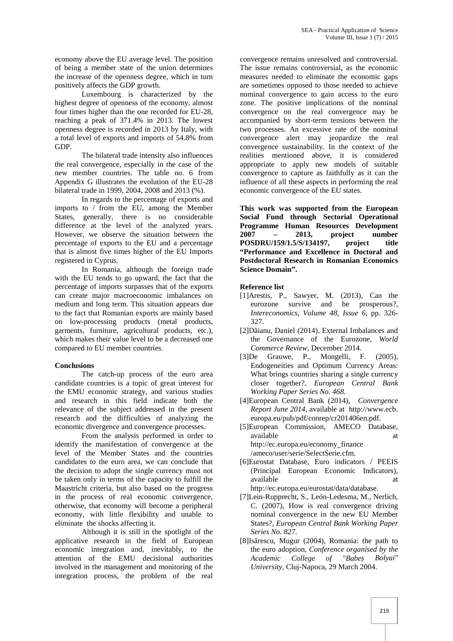economy above the EU average level. The position of being a member state of the union determines the increase of the openness degree, which in turn positively affects the GDP growth.

Luxembourg is characterized by the highest degree of openness of the economy, almost four times higher than the one recorded for EU-28, reaching a peak of 371.4% in 2013. The lowest openness degree is recorded in 2013 by Italy, with a total level of exports and imports of 54.8% from GDP.

The bilateral trade intensity also influences the real convergence, especially in the case of the new member countries. The table no. 6 from Appendix G illustrates the evolution of the EU-28 bilateral trade in 1999, 2004, 2008 and 2013 (%).

In regards to the percentage of exports and imports to / from the EU, among the Member States, generally, there is no considerable difference at the level of the analyzed years. However, we observe the situation between the percentage of exports to the EU and a percentage that is almost five times higher of the EU Imports registered in Cyprus.

In Romania, although the foreign trade with the EU tends to go upward, the fact that the percentage of imports surpasses that of the exports can create major macroeconomic imbalances on medium and long term. This situation appears due to the fact that Romanian exports are mainly based on low-processing products (metal products, garments, furniture, agricultural products, etc.), which makes their value level to be a decreased one compared to EU member countries.

#### **Conclusions**

The catch-up process of the euro area candidate countries is a topic of great interest for the EMU economic strategy, and various studies and research in this field indicate both the relevance of the subject addressed in the present research and the difficulties of analyzing the economic divergence and convergence processes.

From the analysis performed in order to identify the manifestation of convergence at the level of the Member States and the countries candidates to the euro area, we can conclude that the decision to adopt the single currency must not be taken only in terms of the capacity to fulfill the Maastricht criteria, but also based on the progress in the process of real economic convergence, otherwise, that economy will become a peripheral economy, with little flexibility and unable to eliminate the shocks affecting it.

Although it is still in the spotlight of the applicative research in the field of European economic integration and, inevitably, to the attention of the EMU decisional authorities involved in the management and monitoring of the integration process, the problem of the real

convergence remains unresolved and controversial. The issue remains controversial, as the economic measures needed to eliminate the economic gaps are sometimes opposed to those needed to achieve nominal convergence to gain access to the euro zone. The positive implications of the nominal convergence on the real convergence may be accompanied by short-term tensions between the two processes. An excessive rate of the nominal convergence alert may jeopardize the real convergence sustainability. In the context of the realities mentioned above, it is considered appropriate to apply new models of suitable convergence to capture as faithfully as it can the influence of all these aspects in performing the real economic convergence of the EU states.

**This work was supported from the European Social Fund through Sectorial Operational Programme Human Resources Development 2007 – 2013, project number POSDRU/159/1.5/S/134197, project title "Performance and Excellence in Doctoral and Postdoctoral Research in Romanian Economics Science Domain".**

## **Reference list**

- [1]Arestis, P., Sawyer, M. (2013), Can the eurozone survive and be prosperous?, *Intereconomics*, *Volume 48, Issue 6,* pp. 326- 327.
- [2]D ianu, Daniel (2014), External Imbalances and the Governance of the Eurozone, *World Commerce Review*, December 2014.
- [3]De Grauwe, P., Mongelli, F. (2005), Endogeneities and Optimum Currency Areas: What brings countries sharing a single currency closer together?, *European Central Bank Working Paper Series No. 468.*
- [4]European Central Bank (2014), *Convergence Report June 2014*, available at http://www.ecb. europa.eu/pub/pdf/conrep/cr201406en.pdf.
- [5]European Commission, AMECO Database, available at a state of  $\alpha$  at a state of  $\alpha$  at a state of  $\alpha$  at a state of  $\alpha$  at a state of  $\alpha$  at a state of  $\alpha$  at a state of  $\alpha$  at a state of  $\alpha$  at a state of  $\alpha$  at a state of  $\alpha$  at a state of  $\alpha$  at http://ec.europa.eu/economy\_finance /ameco/user/serie/SelectSerie.cfm.
- [6]Eurostat Database, Euro indicators / PEEIS (Principal European Economic Indicators), available at a state at the state at a state at  $\alpha$ http://ec.europa.eu/eurostat/data/database.
- [7]Lein-Rupprecht, S., León-Ledesma, M., Nerlich, C. (2007), How is real convergence driving nominal convergence in the new EU Member States?, *European Central Bank Working Paper*
- *Series No. 827*.  $[8]$ Is rescu, Mugur (2004), Romania: the path to the euro adoption, *Conference organised by the Academic College of "Babe Bolyai" University*, Cluj-Napoca, 29 March 2004.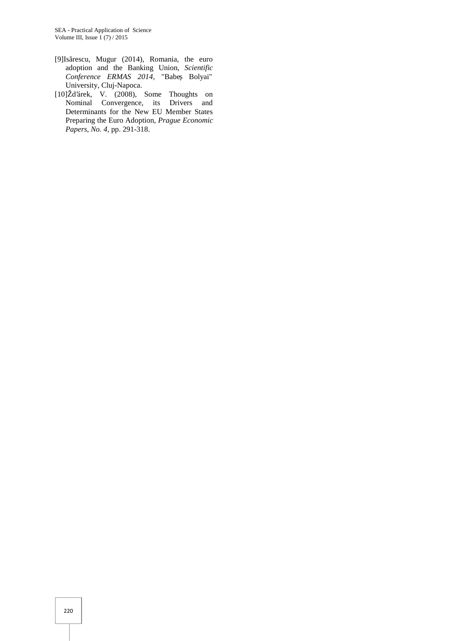- [9]Is rescu, Mugur (2014), Romania, the euro adoption and the Banking Union, *Scientific*  $Conference$  *ERMAS* 2014, "Babe Bolyai" University, Cluj-Napoca.
- [10]Žd'árek, V. (2008), Some Thoughts on Nominal Convergence, its Drivers and Determinants for the New EU Member States Preparing the Euro Adoption, *Prague Economic Papers, No. 4,* pp. 291-318.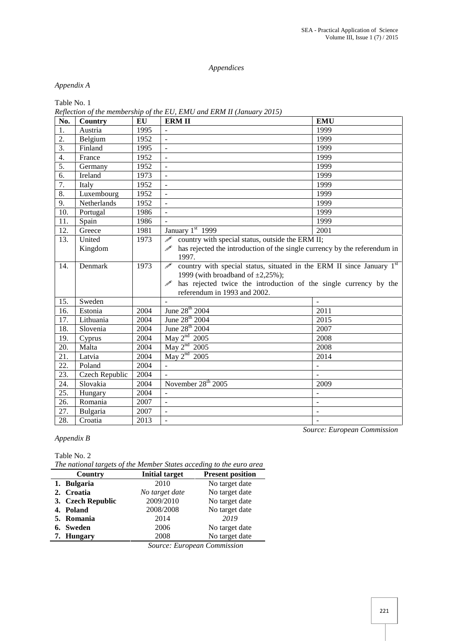## *Appendices*

# *Appendix A*

Table No. 1

*Reflection of the membership of the EU, EMU and ERM II (January 2015)*

| No.              | Country                                                                                                              | EU   | <b>ERM II</b>                                                                              | <b>EMU</b>     |  |  |
|------------------|----------------------------------------------------------------------------------------------------------------------|------|--------------------------------------------------------------------------------------------|----------------|--|--|
| 1.               | Austria                                                                                                              | 1995 | $\overline{a}$                                                                             | 1999           |  |  |
| 2.               | Belgium                                                                                                              | 1952 | $\overline{\phantom{0}}$                                                                   | 1999           |  |  |
| 3.               | Finland                                                                                                              | 1995 | $\overline{\phantom{a}}$                                                                   | 1999           |  |  |
| $\overline{4}$ . | France                                                                                                               | 1952 | $\qquad \qquad \blacksquare$                                                               | 1999           |  |  |
| 5.               | Germany                                                                                                              | 1952 | $\overline{a}$                                                                             | 1999           |  |  |
| 6.               | Ireland                                                                                                              | 1973 | ÷,                                                                                         | 1999           |  |  |
| 7.               | Italy                                                                                                                | 1952 | $\frac{1}{2}$                                                                              | 1999           |  |  |
| 8.               | Luxembourg                                                                                                           | 1952 | $\overline{\phantom{a}}$                                                                   | 1999           |  |  |
| 9.               | Netherlands                                                                                                          | 1952 |                                                                                            | 1999           |  |  |
| 10.              | Portugal                                                                                                             | 1986 | $\blacksquare$                                                                             | 1999           |  |  |
| 11.              | Spain                                                                                                                | 1986 | $\overline{a}$                                                                             | 1999           |  |  |
| 12.              | Greece                                                                                                               | 1981 | January 1st 1999                                                                           | 2001           |  |  |
| 13.              | United                                                                                                               | 1973 | $\mathscr{P}$<br>country with special status, outside the ERM II;                          |                |  |  |
|                  | Kingdom                                                                                                              |      | $\mathscr{P}$<br>has rejected the introduction of the single currency by the referendum in |                |  |  |
|                  |                                                                                                                      |      | 1997.                                                                                      |                |  |  |
| 14.              | country with special status, situated in the ERM II since January 1st<br>$\overline{\mathscr{P}}$<br>1973<br>Denmark |      |                                                                                            |                |  |  |
|                  |                                                                                                                      |      | 1999 (with broadband of $\pm 2,25\%$ );                                                    |                |  |  |
|                  |                                                                                                                      |      | has rejected twice the introduction of the single currency by the                          |                |  |  |
|                  |                                                                                                                      |      | referendum in 1993 and 2002.                                                               |                |  |  |
| 15.              | Sweden                                                                                                               |      |                                                                                            |                |  |  |
| 16.              | Estonia                                                                                                              | 2004 | June 28 <sup>th</sup> 2004                                                                 | 2011           |  |  |
| 17.              | Lithuania                                                                                                            | 2004 | June 28 <sup>th</sup> 2004                                                                 | 2015           |  |  |
| 18.              | Slovenia                                                                                                             | 2004 | June 28 <sup>th</sup> 2004                                                                 | 2007           |  |  |
| 19.              | Cyprus                                                                                                               | 2004 | May $2nd$ 2005                                                                             | 2008           |  |  |
| 20.              | Malta                                                                                                                | 2004 | May $2nd$ 2005                                                                             | 2008           |  |  |
| 21.              | Latvia                                                                                                               | 2004 | May $2nd$ 2005                                                                             | 2014           |  |  |
| 22.              | Poland                                                                                                               | 2004 | ÷,                                                                                         |                |  |  |
| 23.              | Czech Republic                                                                                                       | 2004 |                                                                                            |                |  |  |
| 24.              | Slovakia                                                                                                             | 2004 | November 28 <sup>th</sup> 2005                                                             | 2009           |  |  |
| 25.              | Hungary                                                                                                              | 2004 | $\overline{a}$                                                                             |                |  |  |
| 26.              | Romania                                                                                                              | 2007 | $\overline{a}$                                                                             | $\overline{a}$ |  |  |
| 27.              | Bulgaria                                                                                                             | 2007 | L,                                                                                         | $\blacksquare$ |  |  |
| 28.              | Croatia                                                                                                              | 2013 |                                                                                            |                |  |  |

*Appendix B*

Table No. 2

*The national targets of the Member States acceding to the euro area*

| Country           | <b>Initial target</b>  | <b>Present position</b> |
|-------------------|------------------------|-------------------------|
| 1. Bulgaria       | 2010                   | No target date          |
| 2. Croatia        | No target date         | No target date          |
| 3. Czech Republic | 2009/2010              | No target date          |
| 4. Poland         | 2008/2008              | No target date          |
| 5. Romania        | 2014                   | 2019                    |
| 6. Sweden         | 2006                   | No target date          |
| 7. Hungary        | 2008                   | No target date          |
|                   | $\sim$<br>$\mathbf{r}$ | $\sim$                  |

*Source: European Commission*

*Source: European Commission*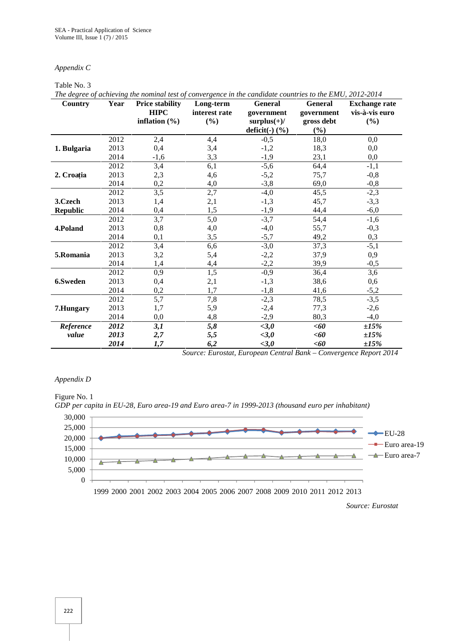#### *Appendix C*

#### Table No. 3

*The degree of achieving the nominal test of convergence in the candidate countries to the EMU, 2012-2014* **Country Year Price stability HIPC inflation (%) Long-term interest rate (%) General government surplus(+)/ deficit(-) (%) General government gross debt (%) Exchange rate vis-à-vis euro (%) 1. Bulgaria** 2013<br>2014  $2012$  2,4 4,4 -0,5 18,0 0,0 2013 0,4 3,4 -1,2 18,3 0,0 2014 -1,6 3,3 -1,9 23,1 0,0 **2. Croația** 2012 3,4 6,1 -5,6 64,4 -1,1 2013 2,3 4,6 -5,2 75,7 -0,8 2014 0,2 4,0 -3,8 69,0 -0,8 **3.Czech Republic** 2012  $3,5$  2,7  $-4,0$   $45,5$   $-2,3$ 2013 1,4 2,1  $-1,3$  45,7  $-3,3$ 2014 0,4 1,5  $-1,9$  44,4  $-6,0$ **4.Poland** 2012  $3,7$   $5,0$   $-3,7$   $54,4$   $-1,6$ 2013 0,8 4,0 -4,0 55,7 -0,3 2014 0,1 3,5 -5,7 49,2 0,3 **5.Romania** 2013<br>2014 2012 3,4 6,6 -3,0 37,3 -5,1 2013 3,2 5,4 -2,2 37,9 0,9 2014 1,4 4,4 -2,2 39,9 -0,5 **6.Sweden** 2012 0,9 1,5 -0,9 36,4 3,6 2013 0,4 2,1 -1,3 38,6 0,6 2014 0,2 1,7 -1,8 41,6 -5,2 **7.Hungary** 2012 5,7 7,8  $-2,3$  78,5  $-3,5$ 2013 1,7 5,9 -2,4 77,3 -2,6 2014 0,0 4,8 -2,9 80,3 -4,0 *Reference 2012 3,1 5,8 <3,0 <60 ±15%*

*Source: Eurostat, European Central Bank – Convergence Report 2014*

*2013 2,7 5,5 <3,0 <60 ±15% 2014 1,7 6,2 <3,0 <60 ±15%*

#### *Appendix D*

*value*





*Source: Eurostat*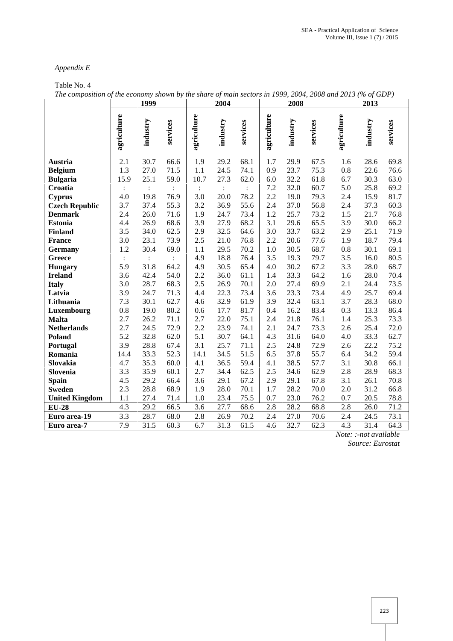# *Appendix E*

# Table No. 4

|                       | 1999           |                | 2004           |                |                | 2008              |             |          | 2013     |                  |          |          |
|-----------------------|----------------|----------------|----------------|----------------|----------------|-------------------|-------------|----------|----------|------------------|----------|----------|
|                       | agriculture    | industry       | services       | agriculture    | industry       | services          | agriculture | industry | services | agriculture      | industry | services |
| Austria               | 2.1            | 30.7           | 66.6           | 1.9            | 29.2           | 68.1              | 1.7         | 29.9     | 67.5     | 1.6              | 28.6     | 69.8     |
| <b>Belgium</b>        | 1.3            | 27.0           | 71.5           | 1.1            | 24.5           | 74.1              | 0.9         | 23.7     | 75.3     | 0.8              | 22.6     | 76.6     |
| <b>Bulgaria</b>       | 15.9           | 25.1           | 59.0           | 10.7           | 27.3           | 62.0              | 6.0         | 32.2     | 61.8     | 6.7              | 30.3     | 63.0     |
| Croatia               | $\ddot{\cdot}$ | $\ddot{\cdot}$ | $\ddot{\cdot}$ | $\ddot{\cdot}$ | $\ddot{\cdot}$ | $\ddot{\cdot}$    | 7.2         | 32.0     | 60.7     | 5.0              | 25.8     | 69.2     |
| <b>Cyprus</b>         | 4.0            | 19.8           | 76.9           | 3.0            | 20.0           | 78.2              | 2.2         | 19.0     | 79.3     | 2.4              | 15.9     | 81.7     |
| <b>Czech Republic</b> | 3.7            | 37.4           | 55.3           | 3.2            | 36.9           | 55.6              | 2.4         | 37.0     | 56.8     | 2.4              | 37.3     | 60.3     |
| <b>Denmark</b>        | 2.4            | 26.0           | 71.6           | 1.9            | 24.7           | 73.4              | 1.2         | 25.7     | 73.2     | 1.5              | 21.7     | 76.8     |
| <b>Estonia</b>        | 4.4            | 26.9           | 68.6           | 3.9            | 27.9           | 68.2              | 3.1         | 29.6     | 65.5     | 3.9              | 30.0     | 66.2     |
| Finland               | 3.5            | 34.0           | 62.5           | 2.9            | 32.5           | 64.6              | 3.0         | 33.7     | 63.2     | 2.9              | 25.1     | 71.9     |
| <b>France</b>         | 3.0            | 23.1           | 73.9           | 2.5            | 21.0           | 76.8              | 2.2         | 20.6     | 77.6     | 1.9              | 18.7     | 79.4     |
| Germany               | 1.2            | 30.4           | 69.0           | 1.1            | 29.5           | 70.2              | 1.0         | 30.5     | 68.7     | 0.8              | 30.1     | 69.1     |
| <b>Greece</b>         | $\ddot{\cdot}$ |                | $\ddot{\cdot}$ | 4.9            | 18.8           | 76.4              | 3.5         | 19.3     | 79.7     | 3.5              | 16.0     | 80.5     |
| <b>Hungary</b>        | 5.9            | 31.8           | 64.2           | 4.9            | 30.5           | 65.4              | 4.0         | 30.2     | 67.2     | 3.3              | 28.0     | 68.7     |
| <b>Ireland</b>        | 3.6            | 42.4           | 54.0           | 2.2            | 36.0           | 61.1              | 1.4         | 33.3     | 64.2     | 1.6              | 28.0     | 70.4     |
| <b>Italy</b>          | 3.0            | 28.7           | 68.3           | 2.5            | 26.9           | 70.1              | 2.0         | 27.4     | 69.9     | 2.1              | 24.4     | 73.5     |
| Latvia                | 3.9            | 24.7           | 71.3           | 4.4            | 22.3           | 73.4              | 3.6         | 23.3     | 73.4     | 4.9              | 25.7     | 69.4     |
| Lithuania             | 7.3            | 30.1           | 62.7           | 4.6            | 32.9           | 61.9              | 3.9         | 32.4     | 63.1     | 3.7              | 28.3     | 68.0     |
| Luxembourg            | 0.8            | 19.0           | 80.2           | 0.6            | 17.7           | 81.7              | 0.4         | 16.2     | 83.4     | 0.3              | 13.3     | 86.4     |
| <b>Malta</b>          | 2.7            | 26.2           | 71.1           | 2.7            | 22.0           | 75.1              | 2.4         | 21.8     | 76.1     | 1.4              | 25.3     | 73.3     |
| <b>Netherlands</b>    | 2.7            | 24.5           | 72.9           | 2.2            | 23.9           | 74.1              | 2.1         | 24.7     | 73.3     | 2.6              | 25.4     | 72.0     |
| Poland                | 5.2            | 32.8           | 62.0           | 5.1            | 30.7           | 64.1              | 4.3         | 31.6     | 64.0     | 4.0              | 33.3     | 62.7     |
| Portugal              | 3.9            | 28.8           | 67.4           | 3.1            | 25.7           | 71.1              | 2.5         | 24.8     | 72.9     | 2.6              | 22.2     | 75.2     |
| Romania               | 14.4           | 33.3           | 52.3           | 14.1           | 34.5           | 51.5              | 6.5         | 37.8     | 55.7     | 6.4              | 34.2     | 59.4     |
| Slovakia              | 4.7            | 35.3           | 60.0           | 4.1            | 36.5           | 59.4              | 4.1         | 38.5     | 57.7     | 3.1              | 30.8     | 66.1     |
| Slovenia              | 3.3            | 35.9           | 60.1           | 2.7            | 34.4           | 62.5              | 2.5         | 34.6     | 62.9     | 2.8              | 28.9     | 68.3     |
| <b>Spain</b>          | 4.5            | 29.2           | 66.4           | 3.6            | 29.1           | 67.2              | 2.9         | 29.1     | 67.8     | 3.1              | 26.1     | 70.8     |
| <b>Sweden</b>         | 2.3            | 28.8           | 68.9           | 1.9            | 28.0           | 70.1              | 1.7         | 28.2     | 70.0     | 2.0              | 31.2     | 66.8     |
| <b>United Kingdom</b> | 1.1            | 27.4           | 71.4           | 1.0            | 23.4           | 75.5              | 0.7         | 23.0     | 76.2     | 0.7              | 20.5     | 78.8     |
| <b>EU-28</b>          | 4.3            | 29.2           | 66.5           | 3.6            | 27.7           | 68.6              | 2.8         | 28.2     | 68.8     | 2.8              | 26.0     | 71.2     |
| Euro area-19          | 3.3            | 28.7           | 68.0           | 2.8            | 26.9           | 70.2              | 2.4         | 27.0     | 70.6     | 2.4              | 24.5     | 73.1     |
| Euro area-7           | 7.9            | 31.5           | 60.3           | 6.7            | 31.3           | $\overline{61.5}$ | 4.6         | 32.7     | 62.3     | $\overline{4.3}$ | 31.4     | 64.3     |

*The composition of the economy shown by the share of main sectors in 1999, 2004, 2008 and 2013 (% of GDP)*

*Note: :-not available*

*Source: Eurostat*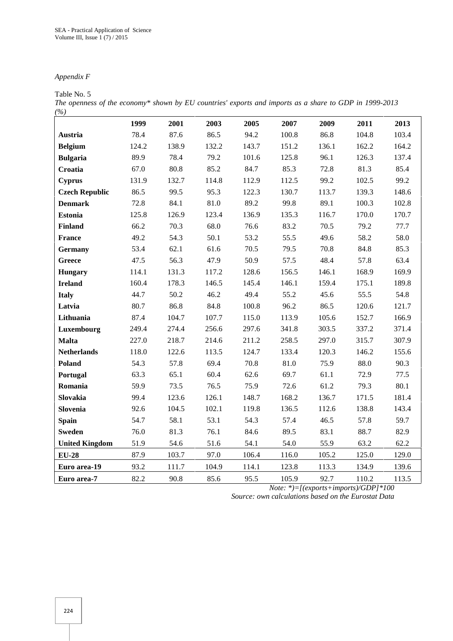# *Appendix F*

#### Table No. 5

*The openness of the economy\* shown by EU countries' exports and imports as a share to GDP in 1999-2013 (%)*

|                       | 1999  | 2001  | 2003  | 2005  | 2007  | 2009  | 2011  | 2013  |
|-----------------------|-------|-------|-------|-------|-------|-------|-------|-------|
| Austria               | 78.4  | 87.6  | 86.5  | 94.2  | 100.8 | 86.8  | 104.8 | 103.4 |
| <b>Belgium</b>        | 124.2 | 138.9 | 132.2 | 143.7 | 151.2 | 136.1 | 162.2 | 164.2 |
| <b>Bulgaria</b>       | 89.9  | 78.4  | 79.2  | 101.6 | 125.8 | 96.1  | 126.3 | 137.4 |
| Croatia               | 67.0  | 80.8  | 85.2  | 84.7  | 85.3  | 72.8  | 81.3  | 85.4  |
| <b>Cyprus</b>         | 131.9 | 132.7 | 114.8 | 112.9 | 112.5 | 99.2  | 102.5 | 99.2  |
| <b>Czech Republic</b> | 86.5  | 99.5  | 95.3  | 122.3 | 130.7 | 113.7 | 139.3 | 148.6 |
| <b>Denmark</b>        | 72.8  | 84.1  | 81.0  | 89.2  | 99.8  | 89.1  | 100.3 | 102.8 |
| <b>Estonia</b>        | 125.8 | 126.9 | 123.4 | 136.9 | 135.3 | 116.7 | 170.0 | 170.7 |
| <b>Finland</b>        | 66.2  | 70.3  | 68.0  | 76.6  | 83.2  | 70.5  | 79.2  | 77.7  |
| <b>France</b>         | 49.2  | 54.3  | 50.1  | 53.2  | 55.5  | 49.6  | 58.2  | 58.0  |
| <b>Germany</b>        | 53.4  | 62.1  | 61.6  | 70.5  | 79.5  | 70.8  | 84.8  | 85.3  |
| Greece                | 47.5  | 56.3  | 47.9  | 50.9  | 57.5  | 48.4  | 57.8  | 63.4  |
| <b>Hungary</b>        | 114.1 | 131.3 | 117.2 | 128.6 | 156.5 | 146.1 | 168.9 | 169.9 |
| <b>Ireland</b>        | 160.4 | 178.3 | 146.5 | 145.4 | 146.1 | 159.4 | 175.1 | 189.8 |
| <b>Italy</b>          | 44.7  | 50.2  | 46.2  | 49.4  | 55.2  | 45.6  | 55.5  | 54.8  |
| Latvia                | 80.7  | 86.8  | 84.8  | 100.8 | 96.2  | 86.5  | 120.6 | 121.7 |
| Lithuania             | 87.4  | 104.7 | 107.7 | 115.0 | 113.9 | 105.6 | 152.7 | 166.9 |
| Luxembourg            | 249.4 | 274.4 | 256.6 | 297.6 | 341.8 | 303.5 | 337.2 | 371.4 |
| <b>Malta</b>          | 227.0 | 218.7 | 214.6 | 211.2 | 258.5 | 297.0 | 315.7 | 307.9 |
| <b>Netherlands</b>    | 118.0 | 122.6 | 113.5 | 124.7 | 133.4 | 120.3 | 146.2 | 155.6 |
| <b>Poland</b>         | 54.3  | 57.8  | 69.4  | 70.8  | 81.0  | 75.9  | 88.0  | 90.3  |
| Portugal              | 63.3  | 65.1  | 60.4  | 62.6  | 69.7  | 61.1  | 72.9  | 77.5  |
| Romania               | 59.9  | 73.5  | 76.5  | 75.9  | 72.6  | 61.2  | 79.3  | 80.1  |
| Slovakia              | 99.4  | 123.6 | 126.1 | 148.7 | 168.2 | 136.7 | 171.5 | 181.4 |
| Slovenia              | 92.6  | 104.5 | 102.1 | 119.8 | 136.5 | 112.6 | 138.8 | 143.4 |
| <b>Spain</b>          | 54.7  | 58.1  | 53.1  | 54.3  | 57.4  | 46.5  | 57.8  | 59.7  |
| <b>Sweden</b>         | 76.0  | 81.3  | 76.1  | 84.6  | 89.5  | 83.1  | 88.7  | 82.9  |
| <b>United Kingdom</b> | 51.9  | 54.6  | 51.6  | 54.1  | 54.0  | 55.9  | 63.2  | 62.2  |
| $EU-28$               | 87.9  | 103.7 | 97.0  | 106.4 | 116.0 | 105.2 | 125.0 | 129.0 |
| Euro area-19          | 93.2  | 111.7 | 104.9 | 114.1 | 123.8 | 113.3 | 134.9 | 139.6 |
| Euro area-7           | 82.2  | 90.8  | 85.6  | 95.5  | 105.9 | 92.7  | 110.2 | 113.5 |

*Note: \*)=[(exports+imports)/GDP]\*100*

*Source: own calculations based on the Eurostat Data*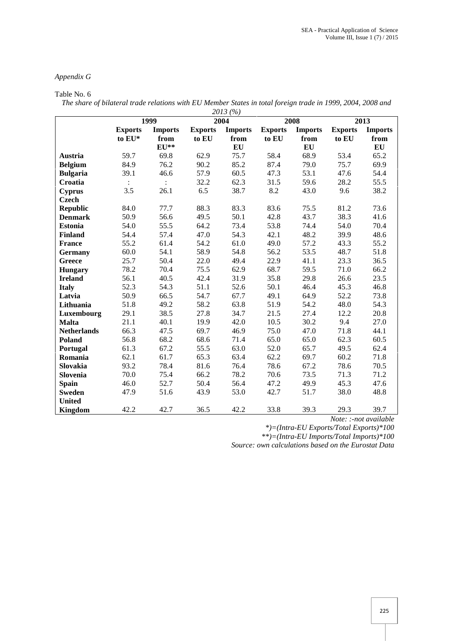# *Appendix G*

#### Table No. 6

*The share of bilateral trade relations with EU Member States in total foreign trade in 1999, 2004, 2008 and 2013 (%)*

|                    | 1999                             |                |                                  | 2013(70)<br>2004 |                | 2008             | 2013                             |      |  |
|--------------------|----------------------------------|----------------|----------------------------------|------------------|----------------|------------------|----------------------------------|------|--|
|                    | <b>Exports</b><br><b>Imports</b> |                | <b>Exports</b><br><b>Imports</b> |                  | <b>Exports</b> | <b>Imports</b>   | <b>Exports</b><br><b>Imports</b> |      |  |
|                    | to EU*                           | from           | to EU                            | from             | to EU          | from             | to EU                            | from |  |
|                    |                                  | $EU**$         |                                  | EU               |                | ${\bf E}{\bf U}$ |                                  | EU   |  |
| Austria            | 59.7                             | 69.8           | 62.9                             | 75.7             | 58.4           | 68.9             | 53.4                             | 65.2 |  |
| <b>Belgium</b>     | 84.9                             | 76.2           | 90.2                             | 85.2             | 87.4           | 79.0             | 75.7                             | 69.9 |  |
| <b>Bulgaria</b>    | 39.1                             | 46.6           | 57.9                             | 60.5             | 47.3           | 53.1             | 47.6                             | 54.4 |  |
| Croatia            | $\ddot{\cdot}$                   | $\ddot{\cdot}$ | 32.2                             | 62.3             | 31.5           | 59.6             | 28.2                             | 55.5 |  |
| <b>Cyprus</b>      | 3.5                              | 26.1           | 6.5                              | 38.7             | 8.2            | 43.0             | 9.6                              | 38.2 |  |
| Czech              |                                  |                |                                  |                  |                |                  |                                  |      |  |
| <b>Republic</b>    | 84.0                             | 77.7           | 88.3                             | 83.3             | 83.6           | 75.5             | 81.2                             | 73.6 |  |
| <b>Denmark</b>     | 50.9                             | 56.6           | 49.5                             | 50.1             | 42.8           | 43.7             | 38.3                             | 41.6 |  |
| <b>Estonia</b>     | 54.0                             | 55.5           | 64.2                             | 73.4             | 53.8           | 74.4             | 54.0                             | 70.4 |  |
| <b>Finland</b>     | 54.4                             | 57.4           | 47.0                             | 54.3             | 42.1           | 48.2             | 39.9                             | 48.6 |  |
| <b>France</b>      | 55.2                             | 61.4           | 54.2                             | 61.0             | 49.0           | 57.2             | 43.3                             | 55.2 |  |
| Germany            | 60.0                             | 54.1           | 58.9                             | 54.8             | 56.2           | 53.5             | 48.7                             | 51.8 |  |
| <b>Greece</b>      | 25.7                             | 50.4           | 22.0                             | 49.4             | 22.9           | 41.1             | 23.3                             | 36.5 |  |
| <b>Hungary</b>     | 78.2                             | 70.4           | 75.5                             | 62.9             | 68.7           | 59.5             | 71.0                             | 66.2 |  |
| <b>Ireland</b>     | 56.1                             | 40.5           | 42.4                             | 31.9             | 35.8           | 29.8             | 26.6                             | 23.5 |  |
| <b>Italy</b>       | 52.3                             | 54.3           | 51.1                             | 52.6             | 50.1           | 46.4             | 45.3                             | 46.8 |  |
| Latvia             | 50.9                             | 66.5           | 54.7                             | 67.7             | 49.1           | 64.9             | 52.2                             | 73.8 |  |
| Lithuania          | 51.8                             | 49.2           | 58.2                             | 63.8             | 51.9           | 54.2             | 48.0                             | 54.3 |  |
| Luxembourg         | 29.1                             | 38.5           | 27.8                             | 34.7             | 21.5           | 27.4             | 12.2                             | 20.8 |  |
| <b>Malta</b>       | 21.1                             | 40.1           | 19.9                             | 42.0             | 10.5           | 30.2             | 9.4                              | 27.0 |  |
| <b>Netherlands</b> | 66.3                             | 47.5           | 69.7                             | 46.9             | 75.0           | 47.0             | 71.8                             | 44.1 |  |
| Poland             | 56.8                             | 68.2           | 68.6                             | 71.4             | 65.0           | 65.0             | 62.3                             | 60.5 |  |
| Portugal           | 61.3                             | 67.2           | 55.5                             | 63.0             | 52.0           | 65.7             | 49.5                             | 62.4 |  |
| Romania            | 62.1                             | 61.7           | 65.3                             | 63.4             | 62.2           | 69.7             | 60.2                             | 71.8 |  |
| Slovakia           | 93.2                             | 78.4           | 81.6                             | 76.4             | 78.6           | 67.2             | 78.6                             | 70.5 |  |
| Slovenia           | 70.0                             | 75.4           | 66.2                             | 78.2             | 70.6           | 73.5             | 71.3                             | 71.2 |  |
| <b>Spain</b>       | 46.0                             | 52.7           | 50.4                             | 56.4             | 47.2           | 49.9             | 45.3                             | 47.6 |  |
| <b>Sweden</b>      | 47.9                             | 51.6           | 43.9                             | 53.0             | 42.7           | 51.7             | 38.0                             | 48.8 |  |
| <b>United</b>      |                                  |                |                                  |                  |                |                  |                                  |      |  |
| <b>Kingdom</b>     | 42.2                             | 42.7           | 36.5                             | 42.2             | 33.8           | 39.3             | 29.3                             | 39.7 |  |

*Note: :-not available*

*\*)=(Intra-EU Exports/Total Exports)\*100*

*\*\*)=(Intra-EU Imports/Total Imports)\*100 Source: own calculations based on the Eurostat Data*